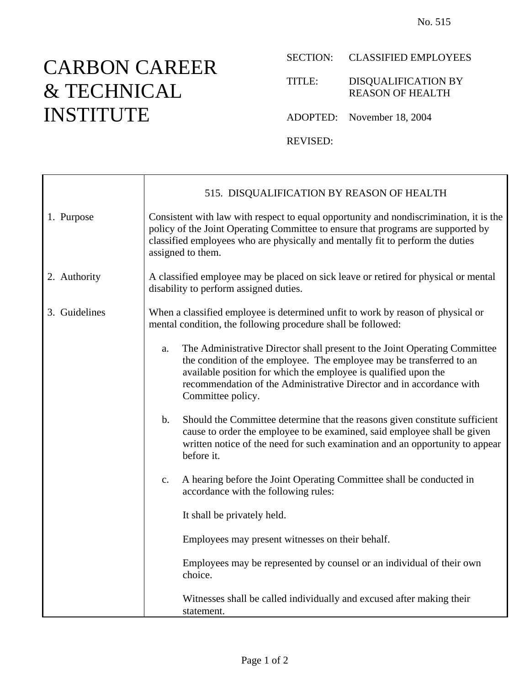## CARBON CAREER & TECHNICAL INSTITUTE

SECTION: CLASSIFIED EMPLOYEES

TITLE: DISQUALIFICATION BY REASON OF HEALTH

ADOPTED: November 18, 2004

REVISED:

|               | 515. DISQUALIFICATION BY REASON OF HEALTH                                                                                                                                                                                                                                                                                |  |  |
|---------------|--------------------------------------------------------------------------------------------------------------------------------------------------------------------------------------------------------------------------------------------------------------------------------------------------------------------------|--|--|
| 1. Purpose    | Consistent with law with respect to equal opportunity and nondiscrimination, it is the<br>policy of the Joint Operating Committee to ensure that programs are supported by<br>classified employees who are physically and mentally fit to perform the duties<br>assigned to them.                                        |  |  |
| 2. Authority  | A classified employee may be placed on sick leave or retired for physical or mental<br>disability to perform assigned duties.                                                                                                                                                                                            |  |  |
| 3. Guidelines | When a classified employee is determined unfit to work by reason of physical or<br>mental condition, the following procedure shall be followed:                                                                                                                                                                          |  |  |
|               | The Administrative Director shall present to the Joint Operating Committee<br>a.<br>the condition of the employee. The employee may be transferred to an<br>available position for which the employee is qualified upon the<br>recommendation of the Administrative Director and in accordance with<br>Committee policy. |  |  |
|               | $\mathbf b$ .<br>Should the Committee determine that the reasons given constitute sufficient<br>cause to order the employee to be examined, said employee shall be given<br>written notice of the need for such examination and an opportunity to appear<br>before it.                                                   |  |  |
|               | A hearing before the Joint Operating Committee shall be conducted in<br>$\mathbf{c}$ .<br>accordance with the following rules:                                                                                                                                                                                           |  |  |
|               | It shall be privately held.                                                                                                                                                                                                                                                                                              |  |  |
|               | Employees may present witnesses on their behalf.                                                                                                                                                                                                                                                                         |  |  |
|               | Employees may be represented by counsel or an individual of their own<br>choice.                                                                                                                                                                                                                                         |  |  |
|               | Witnesses shall be called individually and excused after making their<br>statement.                                                                                                                                                                                                                                      |  |  |